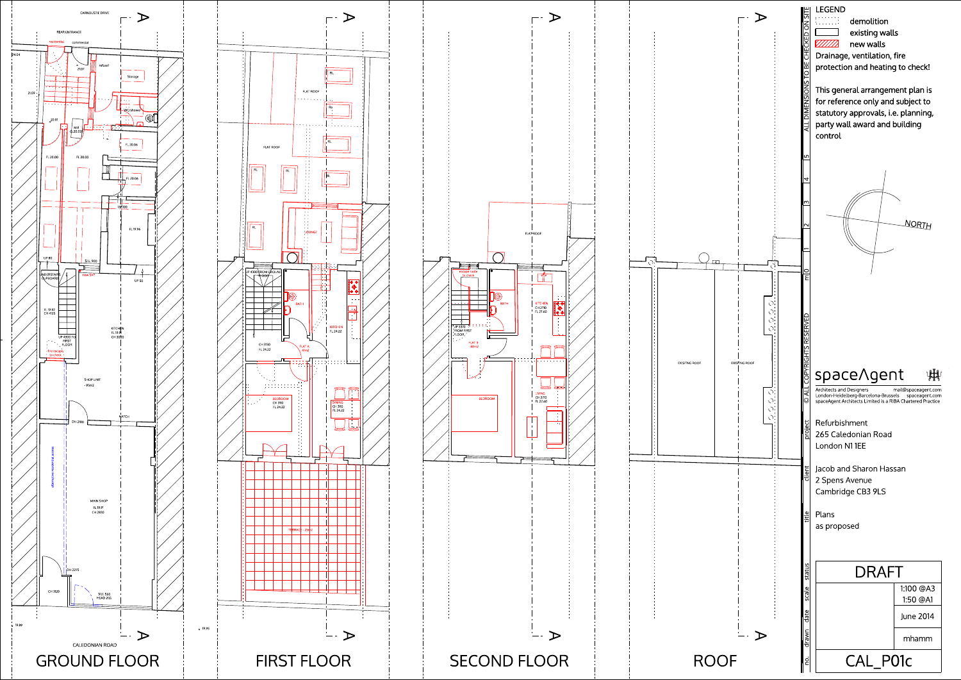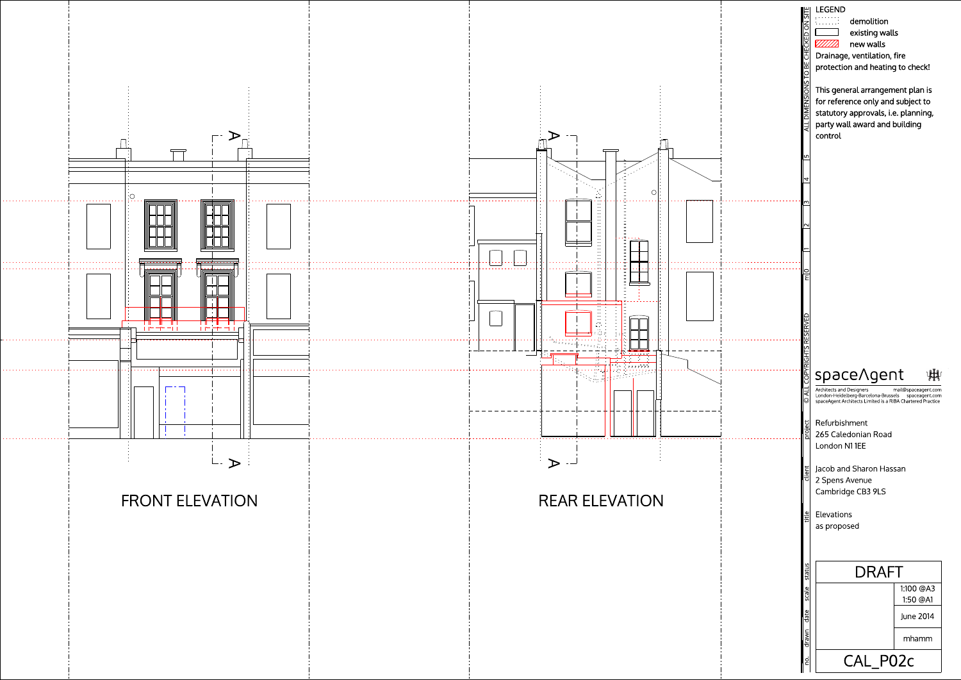



 $\sqrt{Z}/Z/\sqrt{Z}$  new walls demolition existing walls

control party wall award and building statutory approvals, i.e. planning, for reference only and subject to This general arrangement plan is

## space/gent 惏

protection and heating to check! Drainage, ventilation, fire

| <b>O ALL COPYRIGH IS RESERVEL</b> | space/\gent<br>Architects and Designers<br>London Heidelberg Barcelona Brussels<br>spaceAgent Architects Limited is a RIBA Chartered Practice | mail@spaceagent.com<br>spaceagent.com |
|-----------------------------------|-----------------------------------------------------------------------------------------------------------------------------------------------|---------------------------------------|
| palou                             | Refurbishment<br>265 Caledonian Road<br>London N11EE                                                                                          |                                       |
| EBE                               | Jacob and Sharon Hassan<br>2 Spens Avenue<br>Cambridge CB3 9LS                                                                                |                                       |
| EE                                | Elevations<br>as proposed                                                                                                                     |                                       |
| status                            | DRAFT                                                                                                                                         |                                       |
| scale                             |                                                                                                                                               | 1:100 @A3<br>150 @A1                  |
|                                   |                                                                                                                                               | June 2014                             |
| drawn date                        |                                                                                                                                               | mhamm                                 |
| ġ                                 | CAL PO2c                                                                                                                                      |                                       |



n

 $\frac{2}{15}$   $\frac{13}{14}$   $\frac{15}{12}$ 

 $\overline{\phantom{1}}$